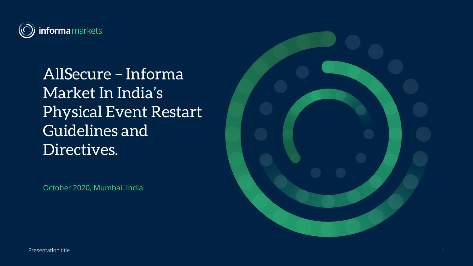

AllSecure – Informa Market In India's Physical Event Restart Guidelines and Directives.

October 2020, Mumbai, India

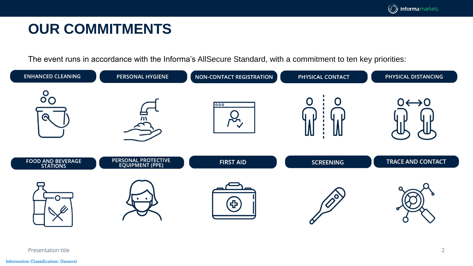### **OUR COMMITMENTS**

The event runs in accordance with the Informa's AllSecure Standard, with a commitment to ten key priorities:

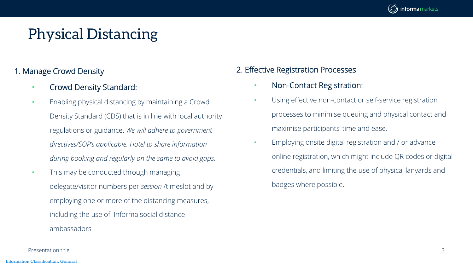

#### 1. Manage Crowd Density

- Crowd Density Standard:
- Enabling physical distancing by maintaining a Crowd Density Standard (CDS) that is in line with local authority regulations or guidance. *We will adhere to government directives/SOP's applicable. Hotel to share information during booking and regularly on the same to avoid gaps*.
- This may be conducted through managing delegate/visitor numbers per *session* /timeslot and by employing one or more of the distancing measures, including the use of Informa social distance ambassadors

#### 2. Effective Registration Processes

- Non-Contact Registration:
- Using effective non-contact or self-service registration processes to minimise queuing and physical contact and maximise participants' time and ease.
- Employing onsite digital registration and / or advance online registration, which might include QR codes or digital credentials, and limiting the use of physical lanyards and badges where possible.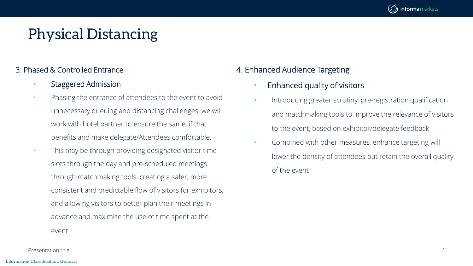

#### 3. Phased & Controlled Entrance

- Staggered Admission
- Phasing the entrance of attendees to the event to avoid unnecessary queuing and distancing challenges. we will work with hotel partner to ensure the same, if that benefits and make delegate/Attendees comfortable.
- This may be through providing designated visitor time slots through the day and pre-scheduled meetings through matchmaking tools, creating a safer, more consistent and predictable flow of visitors for exhibitors, and allowing visitors to better plan their meetings in advance and maximise the use of time spent at the event

### 4. Enhanced Audience Targeting

- Enhanced quality of visitors
- Introducing greater scrutiny, pre-registration qualification and matchmaking tools to improve the relevance of visitors to the event, based on exhibitor/delegate feedback
- Combined with other measures, enhance targeting will lower the density of attendees but retain the overall quality of the event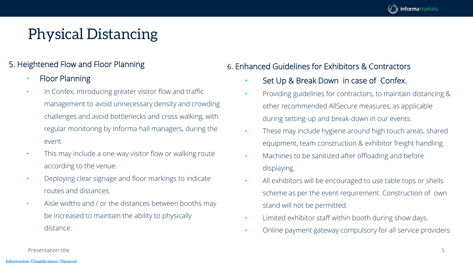

#### 5. Heightened Flow and Floor Planning

#### • Floor Planning

- In Confex, Introducing greater visitor flow and traffic management to avoid unnecessary density and crowding challenges and avoid bottlenecks and cross walking, with regular monitoring by Informa hall managers, during the event.
- This may include a one-way visitor flow or walking route according to the venue.
- Deploying clear signage and floor markings to indicate routes and distances.
- Aisle widths and / or the distances between booths may be increased to maintain the ability to physically distance.

### 6. Enhanced Guidelines for Exhibitors & Contractors

- Set Up & Break Down in case of Confex.
- Providing guidelines for contractors, to maintain distancing & other recommended AllSecure measures, as applicable during setting-up and break-down in our events.
- These may include hygiene around high touch areas, shared equipment, team construction & exhibitor freight handling.
- Machines to be sanitized after offloading and before displaying.
- All exhibitors will be encouraged to use table tops or shells scheme as per the event requirement. Construction of own stand will not be permitted.
- Limited exhibitor staff within booth during show days.
- Online payment gateway compulsory for all service providers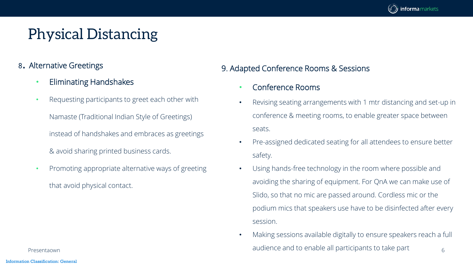

- <sup>8</sup>. Alternative Greetings
	- Eliminating Handshakes
	- Requesting participants to greet each other with

Namaste (Traditional Indian Style of Greetings) instead of handshakes and embraces as greetings

& avoid sharing printed business cards.

• Promoting appropriate alternative ways of greeting that avoid physical contact.

Information Classification: General

#### 9. Adapted Conference Rooms & Sessions

- Conference Rooms
- Revising seating arrangements with 1 mtr distancing and set-up in conference & meeting rooms, to enable greater space between seats.
- Pre-assigned dedicated seating for all attendees to ensure better safety.
- Using hands-free technology in the room where possible and avoiding the sharing of equipment. For QnA we can make use of Slido, so that no mic are passed around. Cordless mic or the podium mics that speakers use have to be disinfected after every session.
- Presentaown **Example 2** and ierce and to enable all participants to take part and to enable all participants to take part • Making sessions available digitally to ensure speakers reach a full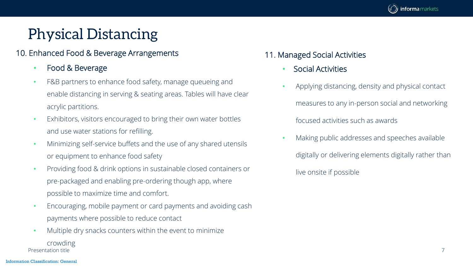

#### 10. Enhanced Food & Beverage Arrangements

- Food & Beverage
- F&B partners to enhance food safety, manage queueing and enable distancing in serving & seating areas. Tables will have clear acrylic partitions.
- Exhibitors, visitors encouraged to bring their own water bottles and use water stations for refilling.
- Minimizing self-service buffets and the use of any shared utensils or equipment to enhance food safety
- Providing food & drink options in sustainable closed containers or pre-packaged and enabling pre-ordering though app, where possible to maximize time and comfort.
- Encouraging, mobile payment or card payments and avoiding cash payments where possible to reduce contact
- Presentation title 7 • Multiple dry snacks counters within the event to minimize crowding

### 11. Managed Social Activities

- Social Activities
- Applying distancing, density and physical contact measures to any in-person social and networking focused activities such as awards
- Making public addresses and speeches available digitally or delivering elements digitally rather than live onsite if possible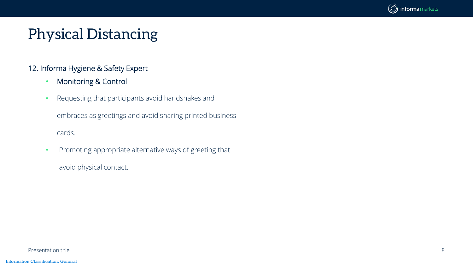

#### 12. Informa Hygiene & Safety Expert

- Monitoring & Control
- Requesting that participants avoid handshakes and

embraces as greetings and avoid sharing printed business cards.

• Promoting appropriate alternative ways of greeting that avoid physical contact.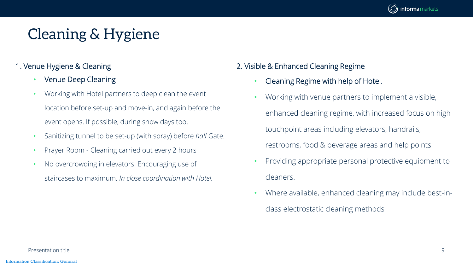

#### 1. Venue Hygiene & Cleaning

- Venue Deep Cleaning
- Working with Hotel partners to deep clean the event location before set-up and move-in, and again before the event opens. If possible, during show days too.
- Sanitizing tunnel to be set-up (with spray) before *hall* Gate.
- Prayer Room Cleaning carried out every 2 hours
- No overcrowding in elevators. Encouraging use of staircases to maximum. *In close coordination with Hotel.*

#### 2. Visible & Enhanced Cleaning Regime

- Cleaning Regime with help of Hotel.
- Working with venue partners to implement a visible, enhanced cleaning regime, with increased focus on high touchpoint areas including elevators, handrails, restrooms, food & beverage areas and help points
- Providing appropriate personal protective equipment to cleaners.
- Where available, enhanced cleaning may include best-inclass electrostatic cleaning methods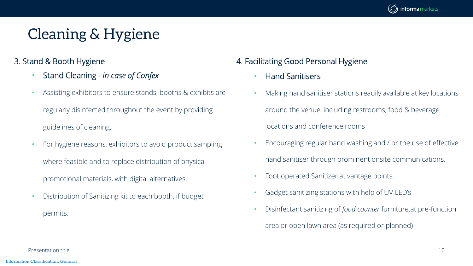

- 3. Stand & Booth Hygiene
	- Stand Cleaning *in case of Confex*
	- Assisting exhibitors to ensure stands, booths & exhibits are regularly disinfected throughout the event by providing guidelines of cleaning.
	- For hygiene reasons, exhibitors to avoid product sampling where feasible and to replace distribution of physical promotional materials, with digital alternatives.
	- Distribution of Sanitizing kit to each booth, if budget permits.

### 4. Facilitating Good Personal Hygiene

- Hand Sanitisers
- Making hand sanitiser stations readily available at key locations around the venue, including restrooms, food & beverage locations and conference rooms
- Encouraging regular hand washing and / or the use of effective hand sanitiser through prominent onsite communications.
- Foot operated Sanitizer at vantage points.
- Gadget sanitizing stations with help of UV LED's
- Disinfectant sanitizing of *food counter* furniture.at pre-function area or open lawn area (as required or planned)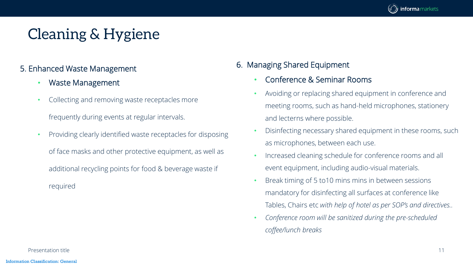

#### 5. Enhanced Waste Management

- Waste Management
- Collecting and removing waste receptacles more

frequently during events at regular intervals.

• Providing clearly identified waste receptacles for disposing of face masks and other protective equipment, as well as additional recycling points for food & beverage waste if required

#### 6. Managing Shared Equipment

- Conference & Seminar Rooms
- Avoiding or replacing shared equipment in conference and meeting rooms, such as hand-held microphones, stationery and lecterns where possible.
- Disinfecting necessary shared equipment in these rooms, such as microphones, between each use.
- Increased cleaning schedule for conference rooms and all event equipment, including audio-visual materials.
- Break timing of 5 to10 mins mins in between sessions mandatory for disinfecting all surfaces at conference like Tables, Chairs etc *with help of hotel as per SOP's and directives..*
- *Conference room will be sanitized during the pre-scheduled coffee/lunch breaks*

Presentation title 11 and 12 and 12 and 20 and 20 and 20 and 20 and 20 and 20 and 20 and 20 and 20 and 20 and 20 and 20 and 20 and 20 and 20 and 20 and 20 and 20 and 20 and 20 and 20 and 20 and 20 and 20 and 20 and 20 and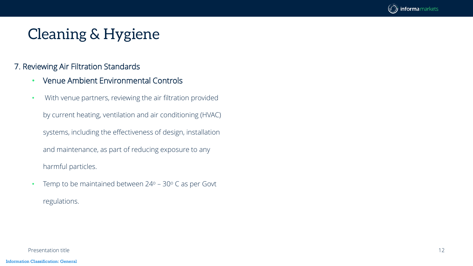

#### 7. Reviewing Air Filtration Standards

- Venue Ambient Environmental Controls
- With venue partners, reviewing the air filtration provided by current heating, ventilation and air conditioning (HVAC) systems, including the effectiveness of design, installation and maintenance, as part of reducing exposure to any harmful particles.
- Temp to be maintained between  $24^{\circ}$  30 $^{\circ}$  C as per Govt regulations.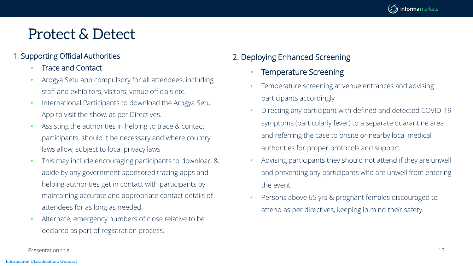

#### 1. Supporting Official Authorities

- Trace and Contact
- Arogya Setu app compulsory for all attendees, including staff and exhibitors, visitors, venue officials etc.
- International Participants to download the Arogya Setu App to visit the show, as per Directives.
- Assisting the authorities in helping to trace & contact participants, should it be necessary and where country laws allow, subject to local privacy laws
- This may include encouraging participants to download & abide by any government-sponsored tracing apps and helping authorities get in contact with participants by maintaining accurate and appropriate contact details of attendees for as long as needed.
- Alternate, emergency numbers of close relative to be declared as part of registration process.

### 2. Deploying Enhanced Screening

- Temperature Screening
- Temperature screening at venue entrances and advising participants accordingly
- Directing any participant with defined and detected COVID-19 symptoms (particularly fever) to a separate quarantine area and referring the case to onsite or nearby local medical authorities for proper protocols and support
- Advising participants they should not attend if they are unwell and preventing any participants who are unwell from entering the event.
- Persons above 65 yrs & pregnant females discouraged to attend as per directives, keeping in mind their safety.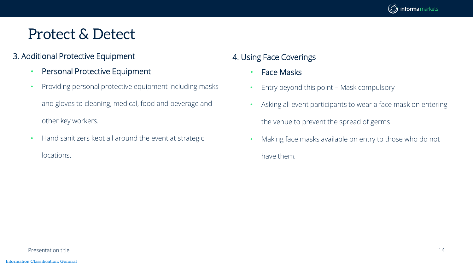

### 3. Additional Protective Equipment

- Personal Protective Equipment
- Providing personal protective equipment including masks and gloves to cleaning, medical, food and beverage and other key workers.
- Hand sanitizers kept all around the event at strategic locations.

### 4. Using Face Coverings

- Face Masks
- Entry beyond this point Mask compulsory
- Asking all event participants to wear a face mask on entering the venue to prevent the spread of germs
- Making face masks available on entry to those who do not have them.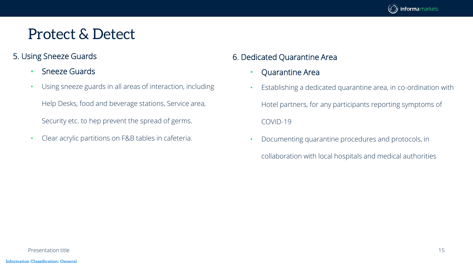

### 5. Using Sneeze Guards

- Sneeze Guards
- Using sneeze guards in all areas of interaction, including Help Desks, food and beverage stations, Service area, Security etc. to hep prevent the spread of germs.
- Clear acrylic partitions on F&B tables in cafeteria.

### 6. Dedicated Quarantine Area

- Quarantine Area
- Establishing a dedicated quarantine area, in co-ordination with Hotel partners, for any participants reporting symptoms of COVID-19
- Documenting quarantine procedures and protocols, in
	- collaboration with local hospitals and medical authorities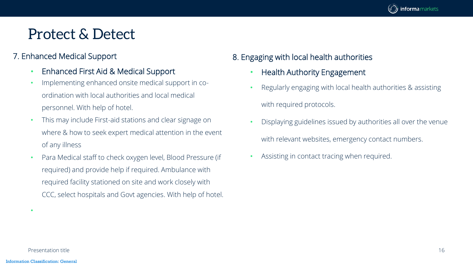

### 7. Enhanced Medical Support

- Enhanced First Aid & Medical Support
- Implementing enhanced onsite medical support in coordination with local authorities and local medical personnel. With help of hotel.
- This may include First-aid stations and clear signage on where & how to seek expert medical attention in the event of any illness
- Para Medical staff to check oxygen level, Blood Pressure (if required) and provide help if required. Ambulance with required facility stationed on site and work closely with CCC, select hospitals and Govt agencies. With help of hotel.

### 8. Engaging with local health authorities

- Health Authority Engagement
- Regularly engaging with local health authorities & assisting with required protocols.
- Displaying guidelines issued by authorities all over the venue with relevant websites, emergency contact numbers.
- Assisting in contact tracing when required.

Presentation title 16

•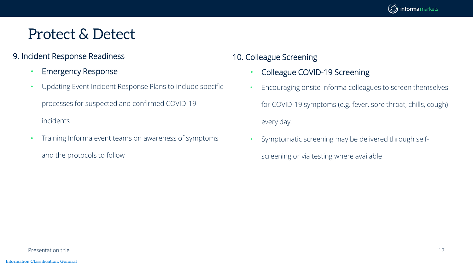

### 9. Incident Response Readiness

- Emergency Response
- Updating Event Incident Response Plans to include specific processes for suspected and confirmed COVID-19 incidents
- Training Informa event teams on awareness of symptoms and the protocols to follow

### 10. Colleague Screening

- Colleague COVID-19 Screening
- Encouraging onsite Informa colleagues to screen themselves for COVID-19 symptoms (e.g. fever, sore throat, chills, cough) every day.
- Symptomatic screening may be delivered through self
	- screening or via testing where available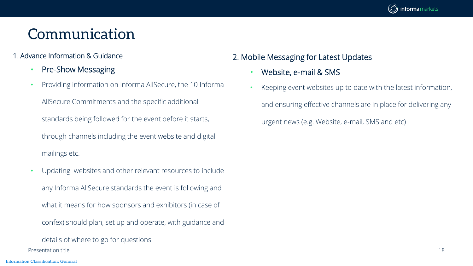

#### 1. Advance Information & Guidance

- Pre-Show Messaging
- Providing information on Informa AllSecure, the 10 Informa AllSecure Commitments and the specific additional standards being followed for the event before it starts, through channels including the event website and digital mailings etc.
- Updating websites and other relevant resources to include any Informa AllSecure standards the event is following and what it means for how sponsors and exhibitors (in case of confex) should plan, set up and operate, with guidance and

details of where to go for questions Presentation title 18

#### 2. Mobile Messaging for Latest Updates

- Website, e-mail & SMS
- Keeping event websites up to date with the latest information, and ensuring effective channels are in place for delivering any urgent news (e.g. Website, e-mail, SMS and etc)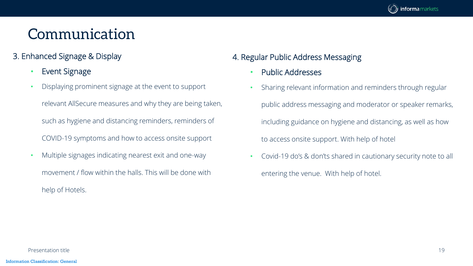

### 3. Enhanced Signage & Display

- Event Signage
- Displaying prominent signage at the event to support relevant AllSecure measures and why they are being taken, such as hygiene and distancing reminders, reminders of COVID-19 symptoms and how to access onsite support
- Multiple signages indicating nearest exit and one-way movement / flow within the halls. This will be done with help of Hotels.

### 4. Regular Public Address Messaging

- Public Addresses
- Sharing relevant information and reminders through regular public address messaging and moderator or speaker remarks, including guidance on hygiene and distancing, as well as how to access onsite support. With help of hotel
- Covid-19 do's & don'ts shared in cautionary security note to all entering the venue. With help of hotel.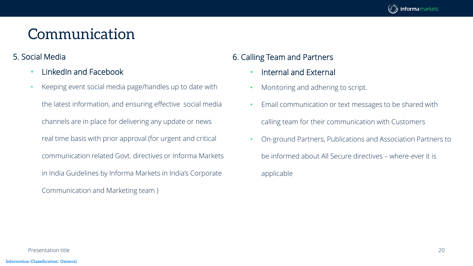

#### 5. Social Media

- LinkedIn and Facebook
- Keeping event social media page/handles up to date with the latest information, and ensuring effective social media channels are in place for delivering any update or news real time basis with prior approval (for urgent and critical communication related Govt. directives or Informa Markets in India Guidelines by Informa Markets in India's Corporate Communication and Marketing team )

### 6. Calling Team and Partners

- Internal and External
- Monitoring and adhering to script.
- Email communication or text messages to be shared with calling team for their communication with Customers
- On-ground Partners, Publications and Association Partners to be informed about All Secure directives – where-ever it is applicable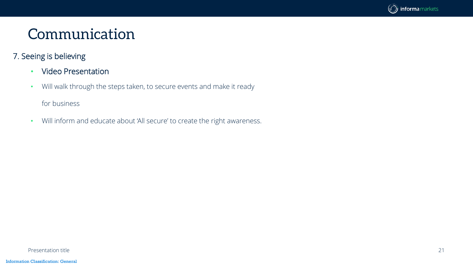

#### 7. Seeing is believing

- Video Presentation
- Will walk through the steps taken, to secure events and make it ready

for business

• Will inform and educate about 'All secure' to create the right awareness.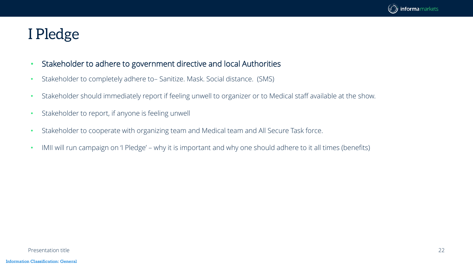

### I Pledge

- Stakeholder to adhere to government directive and local Authorities
- Stakeholder to completely adhere to– Sanitize. Mask. Social distance. (SMS)
- Stakeholder should immediately report if feeling unwell to organizer or to Medical staff available at the show.
- Stakeholder to report, if anyone is feeling unwell
- Stakeholder to cooperate with organizing team and Medical team and All Secure Task force.
- IMII will run campaign on 'I Pledge' why it is important and why one should adhere to it all times (benefits)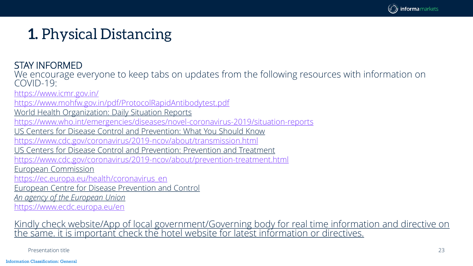

STAY INFORMED

We encourage everyone to keep tabs on updates from the following resources with information on COVID-19:

<https://www.icmr.gov.in/>

<https://www.mohfw.gov.in/pdf/ProtocolRapidAntibodytest.pdf>

World Health Organization: Daily Situation Reports

<https://www.who.int/emergencies/diseases/novel-coronavirus-2019/situation-reports>

US Centers for Disease Control and Prevention: What You Should Know

<https://www.cdc.gov/coronavirus/2019-ncov/about/transmission.html>

US Centers for Disease Control and Prevention: Prevention and Treatment

<https://www.cdc.gov/coronavirus/2019-ncov/about/prevention-treatment.html>

European Commission

[https://ec.europa.eu/health/coronavirus\\_en](https://ec.europa.eu/health/coronavirus_en)

European Centre for Disease Prevention and Control

*An agency of the European Union*

<https://www.ecdc.europa.eu/en>

Kindly check website/App of local government/Governing body for real time information and directive on <u>the same. it is important check the hotel website for latest information or directives.</u>